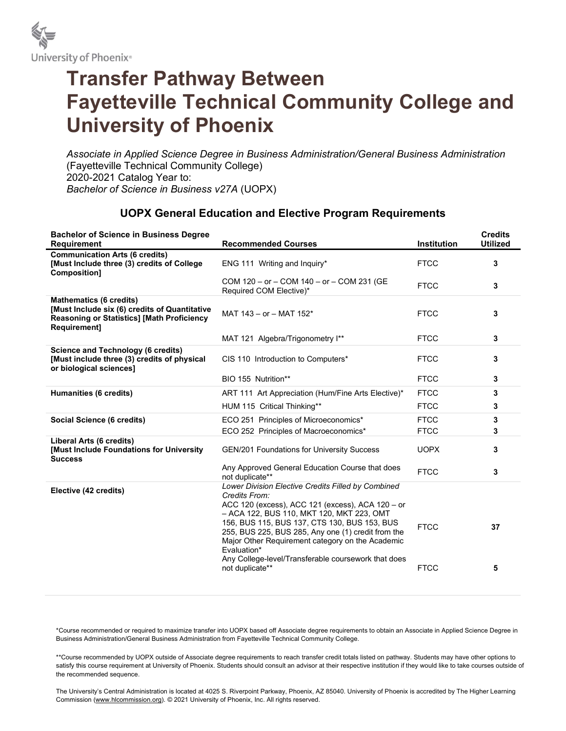

## Transfer Pathway Between Fayetteville Technical Community College and University of Phoenix

Associate in Applied Science Degree in Business Administration/General Business Administration (Fayetteville Technical Community College) 2020-2021 Catalog Year to: Bachelor of Science in Business v27A (UOPX)

## UOPX General Education and Elective Program Requirements

| <b>Bachelor of Science in Business Degree</b><br><b>Requirement</b>                                                                                         | <b>Recommended Courses</b>                                                                                                                                                                                                                                                                                                                                                                           | <b>Institution</b>         | <b>Credits</b><br><b>Utilized</b> |
|-------------------------------------------------------------------------------------------------------------------------------------------------------------|------------------------------------------------------------------------------------------------------------------------------------------------------------------------------------------------------------------------------------------------------------------------------------------------------------------------------------------------------------------------------------------------------|----------------------------|-----------------------------------|
| <b>Communication Arts (6 credits)</b><br>[Must Include three (3) credits of College<br>Composition]                                                         | ENG 111 Writing and Inquiry*                                                                                                                                                                                                                                                                                                                                                                         | <b>FTCC</b>                | 3                                 |
|                                                                                                                                                             | COM 120 - or - COM 140 - or - COM 231 (GE<br>Required COM Elective)*                                                                                                                                                                                                                                                                                                                                 | <b>FTCC</b>                | 3                                 |
| <b>Mathematics (6 credits)</b><br>[Must Include six (6) credits of Quantitative<br><b>Reasoning or Statistics] [Math Proficiency</b><br><b>Requirement1</b> | MAT 143 - or - MAT 152*                                                                                                                                                                                                                                                                                                                                                                              | <b>FTCC</b>                | 3                                 |
|                                                                                                                                                             | MAT 121 Algebra/Trigonometry I**                                                                                                                                                                                                                                                                                                                                                                     | <b>FTCC</b>                | 3                                 |
| <b>Science and Technology (6 credits)</b><br>[Must include three (3) credits of physical<br>or biological sciences]                                         | CIS 110 Introduction to Computers*                                                                                                                                                                                                                                                                                                                                                                   | <b>FTCC</b>                | 3                                 |
|                                                                                                                                                             | BIO 155 Nutrition**                                                                                                                                                                                                                                                                                                                                                                                  | <b>FTCC</b>                | 3                                 |
| Humanities (6 credits)                                                                                                                                      | ART 111 Art Appreciation (Hum/Fine Arts Elective)*                                                                                                                                                                                                                                                                                                                                                   | <b>FTCC</b>                | 3                                 |
|                                                                                                                                                             | HUM 115 Critical Thinking**                                                                                                                                                                                                                                                                                                                                                                          | <b>FTCC</b>                | 3                                 |
| Social Science (6 credits)                                                                                                                                  | ECO 251 Principles of Microeconomics*                                                                                                                                                                                                                                                                                                                                                                | <b>FTCC</b>                | 3                                 |
|                                                                                                                                                             | ECO 252 Principles of Macroeconomics*                                                                                                                                                                                                                                                                                                                                                                | <b>FTCC</b>                | 3                                 |
| Liberal Arts (6 credits)<br>[Must Include Foundations for University<br><b>Success</b>                                                                      | GEN/201 Foundations for University Success                                                                                                                                                                                                                                                                                                                                                           | <b>UOPX</b>                | 3                                 |
|                                                                                                                                                             | Any Approved General Education Course that does<br>not duplicate**                                                                                                                                                                                                                                                                                                                                   | <b>FTCC</b>                | 3                                 |
| Elective (42 credits)                                                                                                                                       | Lower Division Elective Credits Filled by Combined<br>Credits From:<br>ACC 120 (excess), ACC 121 (excess), ACA 120 - or<br>- ACA 122, BUS 110, MKT 120, MKT 223, OMT<br>156, BUS 115, BUS 137, CTS 130, BUS 153, BUS<br>255, BUS 225, BUS 285, Any one (1) credit from the<br>Major Other Requirement category on the Academic<br>Evaluation*<br>Any College-level/Transferable coursework that does | <b>FTCC</b><br><b>FTCC</b> | 37                                |
|                                                                                                                                                             | not duplicate**                                                                                                                                                                                                                                                                                                                                                                                      |                            | 5                                 |

\*Course recommended or required to maximize transfer into UOPX based off Associate degree requirements to obtain an Associate in Applied Science Degree in Business Administration/General Business Administration from Fayetteville Technical Community College.

\*\*Course recommended by UOPX outside of Associate degree requirements to reach transfer credit totals listed on pathway. Students may have other options to satisfy this course requirement at University of Phoenix. Students should consult an advisor at their respective institution if they would like to take courses outside of the recommended sequence.

The University's Central Administration is located at 4025 S. Riverpoint Parkway, Phoenix, AZ 85040. University of Phoenix is accredited by The Higher Learning Commission (www.hlcommission.org). © 2021 University of Phoenix, Inc. All rights reserved.